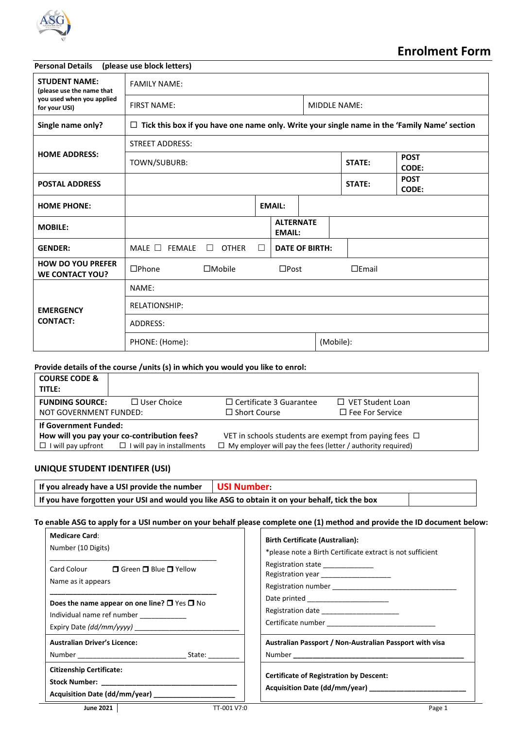

# **Enrolment Form**

| <b>Personal Details</b>                            | (please use block letters)                                                                          |                        |        |                                   |                             |           |                             |
|----------------------------------------------------|-----------------------------------------------------------------------------------------------------|------------------------|--------|-----------------------------------|-----------------------------|-----------|-----------------------------|
| <b>STUDENT NAME:</b><br>(please use the name that  | <b>FAMILY NAME:</b>                                                                                 |                        |        |                                   |                             |           |                             |
| you used when you applied<br>for your USI)         | <b>FIRST NAME:</b>                                                                                  |                        |        |                                   | <b>MIDDLE NAME:</b>         |           |                             |
| Single name only?                                  | $\Box$ Tick this box if you have one name only. Write your single name in the 'Family Name' section |                        |        |                                   |                             |           |                             |
|                                                    | <b>STREET ADDRESS:</b>                                                                              |                        |        |                                   |                             |           |                             |
| <b>HOME ADDRESS:</b>                               | TOWN/SUBURB:                                                                                        |                        |        | STATE:                            | <b>POST</b><br><b>CODE:</b> |           |                             |
| <b>POSTAL ADDRESS</b>                              |                                                                                                     |                        |        |                                   |                             | STATE:    | <b>POST</b><br><b>CODE:</b> |
| <b>HOME PHONE:</b>                                 |                                                                                                     |                        |        | <b>EMAIL:</b>                     |                             |           |                             |
| <b>MOBILE:</b>                                     |                                                                                                     |                        |        | <b>ALTERNATE</b><br><b>EMAIL:</b> |                             |           |                             |
| <b>GENDER:</b>                                     | MALE $\Box$<br>FEMALE                                                                               | $\Box$<br><b>OTHER</b> | $\Box$ |                                   | <b>DATE OF BIRTH:</b>       |           |                             |
| <b>HOW DO YOU PREFER</b><br><b>WE CONTACT YOU?</b> | $D$ Phone                                                                                           | $\Box$ Mobile          |        | $\square$ Post                    |                             | $E$ Fmail |                             |
| <b>EMERGENCY</b><br><b>CONTACT:</b>                | NAME:                                                                                               |                        |        |                                   |                             |           |                             |
|                                                    | RELATIONSHIP:                                                                                       |                        |        |                                   |                             |           |                             |
|                                                    | ADDRESS:                                                                                            |                        |        |                                   |                             |           |                             |
|                                                    | PHONE: (Home):                                                                                      |                        |        |                                   | (Mobile):                   |           |                             |

#### **Provide details of the course /units (s) in which you would you like to enrol:**

| <b>COURSE CODE &amp;</b><br>TITLE: |                                                             |                                                                    |                         |
|------------------------------------|-------------------------------------------------------------|--------------------------------------------------------------------|-------------------------|
| <b>FUNDING SOURCE:</b>             | $\Box$ User Choice                                          | $\Box$ Certificate 3 Guarantee                                     | $\Box$ VET Student Loan |
| NOT GOVERNMENT FUNDED:             |                                                             | $\Box$ Short Course                                                | $\Box$ Fee For Service  |
| If Government Funded:              |                                                             |                                                                    |                         |
|                                    | How will you pay your co-contribution fees?                 | VET in schools students are exempt from paying fees $\Box$         |                         |
|                                    | $\Box$ I will pay upfront $\Box$ I will pay in installments | $\Box$ My employer will pay the fees (letter / authority required) |                         |

#### **UNIQUE STUDENT IDENTIFER (USI)**

| If you already have a USI provide the number                                                    | USI Number |  |
|-------------------------------------------------------------------------------------------------|------------|--|
| If you have forgotten your USI and would you like ASG to obtain it on your behalf, tick the box |            |  |

#### **To enable ASG to apply for a USI number on your behalf please complete one (1) method and provide the ID document below:**

| <b>Medicare Card:</b>                                                                  | <b>Birth Certificate (Australian):</b>                                       |
|----------------------------------------------------------------------------------------|------------------------------------------------------------------------------|
| Number (10 Digits)                                                                     | *please note a Birth Certificate extract is not sufficient                   |
| Card Colour $\Box$ Green $\Box$ Blue $\Box$ Yellow<br>Name as it appears               | Registration state ______________<br>Registration year _____________________ |
| Does the name appear on one line? $\Box$ Yes $\Box$ No                                 |                                                                              |
| Individual name ref number ___________                                                 | Registration date ______________________                                     |
|                                                                                        |                                                                              |
| <b>Australian Driver's Licence:</b>                                                    | Australian Passport / Non-Australian Passport with visa                      |
| Number State:                                                                          |                                                                              |
| <b>Citizenship Certificate:</b><br>Acquisition Date (dd/mm/year) _____________________ | <b>Certificate of Registration by Descent:</b>                               |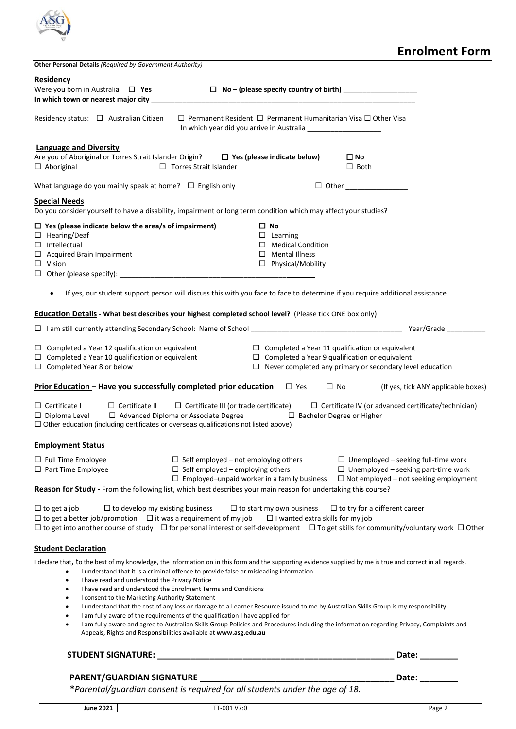| Other Personal Details (Required by Government Authority)                                                                                                                                                                                                                                                                                                                                                                                                                                                                                                                                                                                                               |                                                                                                                                                                                                                                                                                  | <b>Enrolment Form</b>                                                                                                                    |
|-------------------------------------------------------------------------------------------------------------------------------------------------------------------------------------------------------------------------------------------------------------------------------------------------------------------------------------------------------------------------------------------------------------------------------------------------------------------------------------------------------------------------------------------------------------------------------------------------------------------------------------------------------------------------|----------------------------------------------------------------------------------------------------------------------------------------------------------------------------------------------------------------------------------------------------------------------------------|------------------------------------------------------------------------------------------------------------------------------------------|
| <b>Residency</b><br>Were you born in Australia $\Box$ Yes                                                                                                                                                                                                                                                                                                                                                                                                                                                                                                                                                                                                               |                                                                                                                                                                                                                                                                                  |                                                                                                                                          |
| Residency status: $\Box$ Australian Citizen                                                                                                                                                                                                                                                                                                                                                                                                                                                                                                                                                                                                                             | $\Box$ Permanent Resident $\Box$ Permanent Humanitarian Visa $\Box$ Other Visa<br>In which year did you arrive in Australia                                                                                                                                                      |                                                                                                                                          |
| <b>Language and Diversity</b><br>Are you of Aboriginal or Torres Strait Islander Origin?<br>D Yes (please indicate below)<br>$\Box$ Aboriginal<br>$\Box$ Torres Strait Islander                                                                                                                                                                                                                                                                                                                                                                                                                                                                                         |                                                                                                                                                                                                                                                                                  | $\square$ No<br>$\Box$ Both                                                                                                              |
| What language do you mainly speak at home? $\Box$ English only                                                                                                                                                                                                                                                                                                                                                                                                                                                                                                                                                                                                          |                                                                                                                                                                                                                                                                                  | $\Box$ Other                                                                                                                             |
| <b>Special Needs</b>                                                                                                                                                                                                                                                                                                                                                                                                                                                                                                                                                                                                                                                    |                                                                                                                                                                                                                                                                                  |                                                                                                                                          |
| Do you consider yourself to have a disability, impairment or long term condition which may affect your studies?                                                                                                                                                                                                                                                                                                                                                                                                                                                                                                                                                         | $\square$ No                                                                                                                                                                                                                                                                     |                                                                                                                                          |
| $\Box$ Yes (please indicate below the area/s of impairment)<br>$\Box$ Hearing/Deaf<br>$\Box$ Intellectual<br>$\Box$ Acquired Brain Impairment<br>$\Box$ Vision                                                                                                                                                                                                                                                                                                                                                                                                                                                                                                          | $\Box$ Learning<br>$\Box$ Medical Condition<br>$\Box$ Mental Illness<br>□ Physical/Mobility                                                                                                                                                                                      |                                                                                                                                          |
| If yes, our student support person will discuss this with you face to face to determine if you require additional assistance.<br>$\bullet$                                                                                                                                                                                                                                                                                                                                                                                                                                                                                                                              |                                                                                                                                                                                                                                                                                  |                                                                                                                                          |
| <b>Education Details</b> - What best describes your highest completed school level? (Please tick ONE box only)                                                                                                                                                                                                                                                                                                                                                                                                                                                                                                                                                          |                                                                                                                                                                                                                                                                                  |                                                                                                                                          |
|                                                                                                                                                                                                                                                                                                                                                                                                                                                                                                                                                                                                                                                                         |                                                                                                                                                                                                                                                                                  |                                                                                                                                          |
| $\Box$ Completed a Year 12 qualification or equivalent<br>Completed a Year 10 qualification or equivalent<br>$\Box$<br>$\Box$ Completed Year 8 or below                                                                                                                                                                                                                                                                                                                                                                                                                                                                                                                 | $\Box$ Completed a Year 11 qualification or equivalent<br>$\Box$ Completed a Year 9 qualification or equivalent                                                                                                                                                                  | $\Box$ Never completed any primary or secondary level education                                                                          |
| <b>Prior Education - Have you successfully completed prior education</b>                                                                                                                                                                                                                                                                                                                                                                                                                                                                                                                                                                                                | $\square$ Yes<br>$\Box$ No                                                                                                                                                                                                                                                       | (If yes, tick ANY applicable boxes)                                                                                                      |
| $\Box$ Certificate I<br>$\Box$ Certificate II<br>$\Box$ Advanced Diploma or Associate Degree<br>$\Box$ Diploma Level<br>$\Box$ Other education (including certificates or overseas qualifications not listed above)                                                                                                                                                                                                                                                                                                                                                                                                                                                     | $\Box$ Certificate III (or trade certificate)<br>$\Box$ Bachelor Degree or Higher                                                                                                                                                                                                | $\Box$ Certificate IV (or advanced certificate/technician)                                                                               |
| <b>Employment Status</b>                                                                                                                                                                                                                                                                                                                                                                                                                                                                                                                                                                                                                                                |                                                                                                                                                                                                                                                                                  |                                                                                                                                          |
| $\Box$ Full Time Employee<br>$\Box$ Part Time Employee<br>Reason for Study - From the following list, which best describes your main reason for undertaking this course?                                                                                                                                                                                                                                                                                                                                                                                                                                                                                                | $\Box$ Self employed – not employing others<br>$\Box$ Self employed – employing others<br>$\Box$ Employed-unpaid worker in a family business                                                                                                                                     | $\Box$ Unemployed – seeking full-time work<br>$\Box$ Unemployed - seeking part-time work<br>$\Box$ Not employed – not seeking employment |
| $\Box$ to get a job<br>$\Box$ to develop my existing business<br>$\Box$ to get a better job/promotion $\Box$ it was a requirement of my job<br>$\Box$ to get into another course of study $\Box$ for personal interest or self-development $\Box$ To get skills for community/voluntary work $\Box$ Other                                                                                                                                                                                                                                                                                                                                                               | $\Box$ to start my own business $\Box$ to try for a different career<br>$\Box$ I wanted extra skills for my job                                                                                                                                                                  |                                                                                                                                          |
| <b>Student Declaration</b>                                                                                                                                                                                                                                                                                                                                                                                                                                                                                                                                                                                                                                              |                                                                                                                                                                                                                                                                                  |                                                                                                                                          |
| I declare that, to the best of my knowledge, the information on in this form and the supporting evidence supplied by me is true and correct in all regards.<br>I understand that it is a criminal offence to provide false or misleading information<br>$\bullet$<br>I have read and understood the Privacy Notice<br>$\bullet$<br>I have read and understood the Enrolment Terms and Conditions<br>$\bullet$<br>I consent to the Marketing Authority Statement<br>$\bullet$<br>$\bullet$<br>I am fully aware of the requirements of the qualification I have applied for<br>$\bullet$<br>$\bullet$<br>Appeals, Rights and Responsibilities available at www.asg.edu.au | I understand that the cost of any loss or damage to a Learner Resource issued to me by Australian Skills Group is my responsibility<br>I am fully aware and agree to Australian Skills Group Policies and Procedures including the information regarding Privacy, Complaints and |                                                                                                                                          |
|                                                                                                                                                                                                                                                                                                                                                                                                                                                                                                                                                                                                                                                                         |                                                                                                                                                                                                                                                                                  | Date: ________                                                                                                                           |
|                                                                                                                                                                                                                                                                                                                                                                                                                                                                                                                                                                                                                                                                         |                                                                                                                                                                                                                                                                                  | Date: ________                                                                                                                           |

 **\****Parental/guardian consent is required for all students under the age of 18.*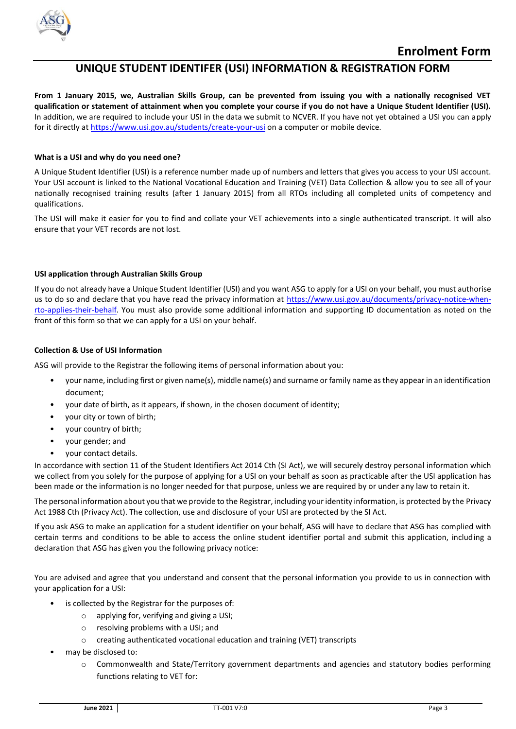

# **UNIQUE STUDENT IDENTIFER (USI) INFORMATION & REGISTRATION FORM**

**From 1 January 2015, we, Australian Skills Group, can be prevented from issuing you with a nationally recognised VET qualification or statement of attainment when you complete your course if you do not have a Unique Student Identifier (USI).** In addition, we are required to include your USI in the data we submit to NCVER. If you have not yet obtained a USI you can apply for it directly a[t https://www.usi.gov.au/students/create-your-usi](https://www.usi.gov.au/students/create-your-usi) on a computer or mobile device.

#### **What is a USI and why do you need one?**

A Unique Student Identifier (USI) is a reference number made up of numbers and letters that gives you access to your USI account. Your USI account is linked to the National Vocational Education and Training (VET) Data Collection & allow you to see all of your nationally recognised training results (after 1 January 2015) from all RTOs including all completed units of competency and qualifications.

The USI will make it easier for you to find and collate your VET achievements into a single authenticated transcript. It will also ensure that your VET records are not lost.

#### **USI application through Australian Skills Group**

If you do not already have a Unique Student Identifier (USI) and you want ASG to apply for a USI on your behalf, you must authorise us to do so and declare that you have read the privacy information at [https://www.usi.gov.au/documents/privacy-notice-when](https://www.usi.gov.au/documents/privacy-notice-when-rto-applies-their-behalf)[rto-applies-their-behalf.](https://www.usi.gov.au/documents/privacy-notice-when-rto-applies-their-behalf) You must also provide some additional information and supporting ID documentation as noted on the front of this form so that we can apply for a USI on your behalf.

#### **Collection & Use of USI Information**

ASG will provide to the Registrar the following items of personal information about you:

- your name, including first or given name(s), middle name(s) and surname or family name as they appear in an identification document;
- your date of birth, as it appears, if shown, in the chosen document of identity;
- your city or town of birth;
- your country of birth;
- your gender; and
- your contact details.

In accordance with section 11 of the Student Identifiers Act 2014 Cth (SI Act), we will securely destroy personal information which we collect from you solely for the purpose of applying for a USI on your behalf as soon as practicable after the USI application has been made or the information is no longer needed for that purpose, unless we are required by or under any law to retain it.

The personal information about you that we provide to the Registrar, including your identity information, is protected by the Privacy Act 1988 Cth (Privacy Act). The collection, use and disclosure of your USI are protected by the SI Act.

If you ask ASG to make an application for a student identifier on your behalf, ASG will have to declare that ASG has complied with certain terms and conditions to be able to access the online student identifier portal and submit this application, including a declaration that ASG has given you the following privacy notice:

You are advised and agree that you understand and consent that the personal information you provide to us in connection with your application for a USI:

- is collected by the Registrar for the purposes of:
	- o applying for, verifying and giving a USI;
	- o resolving problems with a USI; and
	- o creating authenticated vocational education and training (VET) transcripts
- may be disclosed to:
	- o Commonwealth and State/Territory government departments and agencies and statutory bodies performing functions relating to VET for: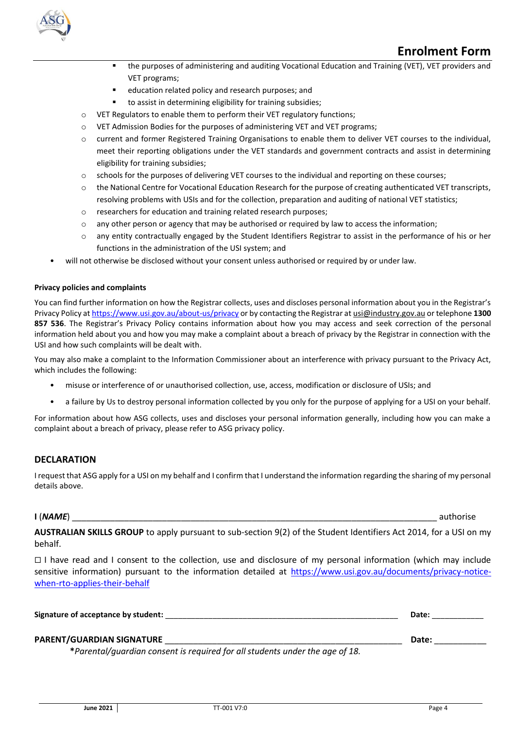

# **Enrolment Form**

- the purposes of administering and auditing Vocational Education and Training (VET), VET providers and VET programs;
- education related policy and research purposes; and
- to assist in determining eligibility for training subsidies;
- o VET Regulators to enable them to perform their VET regulatory functions;
- o VET Admission Bodies for the purposes of administering VET and VET programs;
- o current and former Registered Training Organisations to enable them to deliver VET courses to the individual, meet their reporting obligations under the VET standards and government contracts and assist in determining eligibility for training subsidies;
- o schools for the purposes of delivering VET courses to the individual and reporting on these courses;
- $\circ$  the National Centre for Vocational Education Research for the purpose of creating authenticated VET transcripts, resolving problems with USIs and for the collection, preparation and auditing of national VET statistics;
- o researchers for education and training related research purposes;
- $\circ$  any other person or agency that may be authorised or required by law to access the information;
- o any entity contractually engaged by the Student Identifiers Registrar to assist in the performance of his or her functions in the administration of the USI system; and
- will not otherwise be disclosed without your consent unless authorised or required by or under law.

#### **Privacy policies and complaints**

You can find further information on how the Registrar collects, uses and discloses personal information about you in the Registrar's Privacy Policy a[t https://www.usi.gov.au/about-us/privacy](https://www.usi.gov.au/about-us/privacy) or by contacting the Registrar a[t usi@industry.gov.au](file:///C:/Users/Peter/AppData/KBradley/AppData/Local/Microsoft/Windows/Temporary%20Internet%20Files/Content.IE5/AppData/Local/Microsoft/Windows/Temporary%20Internet%20Files/Content.Outlook/AppData/Local/Microsoft/Windows/Temporary%20Internet%20Files/terry.taylor/Documents/usi@industry.gov.au) or telephone **1300 857 536**. The Registrar's Privacy Policy contains information about how you may access and seek correction of the personal information held about you and how you may make a complaint about a breach of privacy by the Registrar in connection with the USI and how such complaints will be dealt with.

You may also make a complaint to the Information Commissioner about an interference with privacy pursuant to the Privacy Act, which includes the following:

- misuse or interference of or unauthorised collection, use, access, modification or disclosure of USIs; and
- a failure by Us to destroy personal information collected by you only for the purpose of applying for a USI on your behalf.

For information about how ASG collects, uses and discloses your personal information generally, including how you can make a complaint about a breach of privacy, please refer to ASG privacy policy.

#### **DECLARATION**

I request that ASG apply for a USI on my behalf and I confirm that I understand the information regarding the sharing of my personal details above.

**I** (*NAME*) \_\_\_\_\_\_\_\_\_\_\_\_\_\_\_\_\_\_\_\_\_\_\_\_\_\_\_\_\_\_\_\_\_\_\_\_\_\_\_\_\_\_\_\_\_\_\_\_\_\_\_\_\_\_\_\_\_\_\_\_\_\_\_\_\_\_\_\_\_\_\_\_\_\_\_\_\_ authorise

**AUSTRALIAN SKILLS GROUP** to apply pursuant to sub-section 9(2) of the Student Identifiers Act 2014, for a USI on my behalf.

 $\Box$  I have read and I consent to the collection, use and disclosure of my personal information (which may include sensitive information) pursuant to the information detailed at [https://www.usi.gov.au/documents/privacy-notice](https://www.usi.gov.au/documents/privacy-notice-when-rto-applies-their-behalf)[when-rto-applies-their-behalf](https://www.usi.gov.au/documents/privacy-notice-when-rto-applies-their-behalf)

| Signature of acceptance by student: | <b>Date</b> |
|-------------------------------------|-------------|
| <b>PARENT/GUARDIAN SIGNATURE</b>    | Date:       |

 **\****Parental/guardian consent is required for all students under the age of 18.*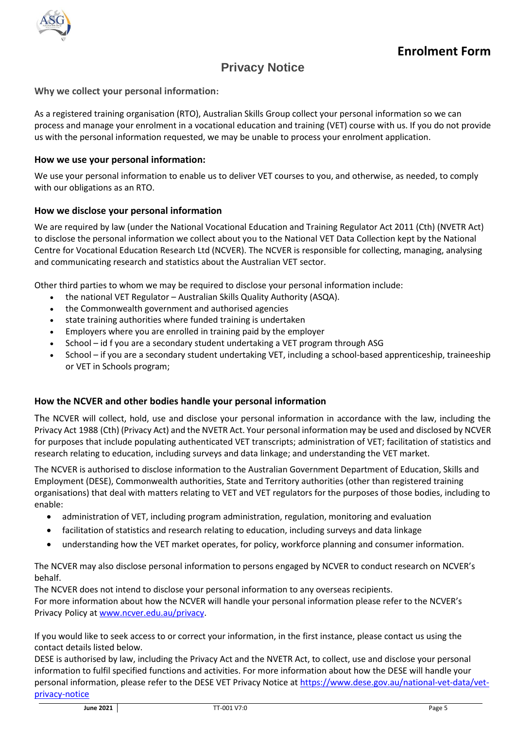

# **Privacy Notice**

**Why we collect your personal information:**

As a registered training organisation (RTO), Australian Skills Group collect your personal information so we can process and manage your enrolment in a vocational education and training (VET) course with us. If you do not provide us with the personal information requested, we may be unable to process your enrolment application.

## **How we use your personal information:**

We use your personal information to enable us to deliver VET courses to you, and otherwise, as needed, to comply with our obligations as an RTO.

## **How we disclose your personal information**

We are required by law (under the National Vocational Education and Training Regulator Act 2011 (Cth) (NVETR Act) to disclose the personal information we collect about you to the National VET Data Collection kept by the National Centre for Vocational Education Research Ltd (NCVER). The NCVER is responsible for collecting, managing, analysing and communicating research and statistics about the Australian VET sector.

Other third parties to whom we may be required to disclose your personal information include:

- the national VET Regulator Australian Skills Quality Authority (ASQA).
- the Commonwealth government and authorised agencies
- state training authorities where funded training is undertaken
- Employers where you are enrolled in training paid by the employer
- School id f you are a secondary student undertaking a VET program through ASG
- School if you are a secondary student undertaking VET, including a school-based apprenticeship, traineeship or VET in Schools program;

#### **How the NCVER and other bodies handle your personal information**

The NCVER will collect, hold, use and disclose your personal information in accordance with the law, including the Privacy Act 1988 (Cth) (Privacy Act) and the NVETR Act. Your personal information may be used and disclosed by NCVER for purposes that include populating authenticated VET transcripts; administration of VET; facilitation of statistics and research relating to education, including surveys and data linkage; and understanding the VET market.

The NCVER is authorised to disclose information to the Australian Government Department of Education, Skills and Employment (DESE), Commonwealth authorities, State and Territory authorities (other than registered training organisations) that deal with matters relating to VET and VET regulators for the purposes of those bodies, including to enable:

- administration of VET, including program administration, regulation, monitoring and evaluation
- facilitation of statistics and research relating to education, including surveys and data linkage
- understanding how the VET market operates, for policy, workforce planning and consumer information.

The NCVER may also disclose personal information to persons engaged by NCVER to conduct research on NCVER's behalf.

The NCVER does not intend to disclose your personal information to any overseas recipients. For more information about how the NCVER will handle your personal information please refer to the NCVER's Privacy Policy at [www.ncver.edu.au/privacy.](http://www.ncver.edu.au/privacy)

If you would like to seek access to or correct your information, in the first instance, please contact us using the contact details listed below.

DESE is authorised by law, including the Privacy Act and the NVETR Act, to collect, use and disclose your personal information to fulfil specified functions and activities. For more information about how the DESE will handle your personal information, please refer to the DESE VET Privacy Notice a[t https://www.dese.gov.au/national-vet-data/vet](https://www.dese.gov.au/national-vet-data/vet-privacy-notice)[privacy-notice](https://www.dese.gov.au/national-vet-data/vet-privacy-notice)